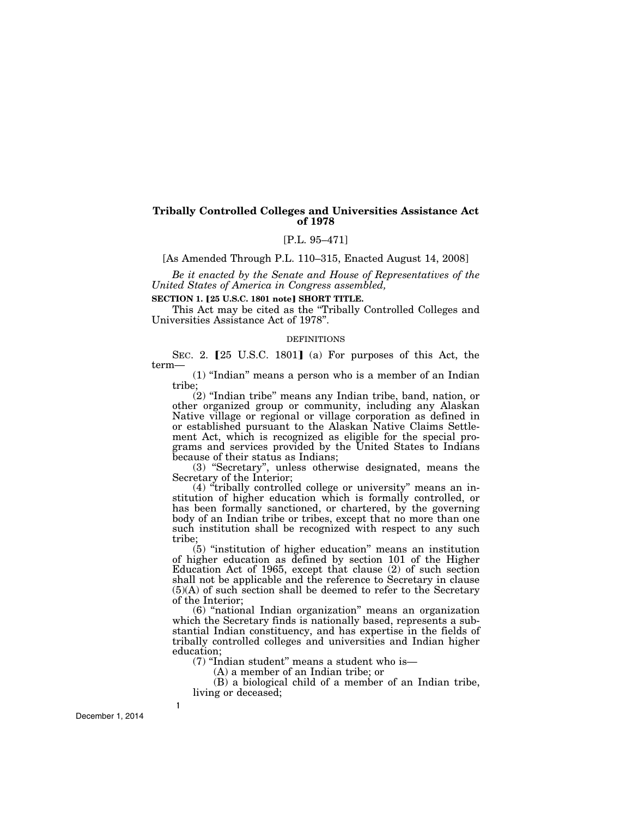# **Tribally Controlled Colleges and Universities Assistance Act of 1978**

# [P.L. 95–471]

[As Amended Through P.L. 110–315, Enacted August 14, 2008]

*Be it enacted by the Senate and House of Representatives of the United States of America in Congress assembled,* 

# **SECTION 1. [25 U.S.C. 1801 note] SHORT TITLE.**

This Act may be cited as the "Tribally Controlled Colleges and Universities Assistance Act of 1978''.

#### **DEFINITIONS**

SEC. 2.  $[25 \text{ U.S.C. } 1801]$  (a) For purposes of this Act, the term—

(1) ''Indian'' means a person who is a member of an Indian tribe;

 $(2)$  "Indian tribe" means any Indian tribe, band, nation, or other organized group or community, including any Alaskan Native village or regional or village corporation as defined in or established pursuant to the Alaskan Native Claims Settlement Act, which is recognized as eligible for the special programs and services provided by the United States to Indians because of their status as Indians;

(3) ''Secretary'', unless otherwise designated, means the Secretary of the Interior;

(4) ''tribally controlled college or university'' means an institution of higher education which is formally controlled, or has been formally sanctioned, or chartered, by the governing body of an Indian tribe or tribes, except that no more than one such institution shall be recognized with respect to any such tribe;

 $(5)$  "institution of higher education" means an institution of higher education as defined by section 101 of the Higher Education Act of 1965, except that clause (2) of such section shall not be applicable and the reference to Secretary in clause  $(5)(A)$  of such section shall be deemed to refer to the Secretary of the Interior;

(6) ''national Indian organization'' means an organization which the Secretary finds is nationally based, represents a substantial Indian constituency, and has expertise in the fields of tribally controlled colleges and universities and Indian higher education;

(7) ''Indian student'' means a student who is—

(A) a member of an Indian tribe; or

(B) a biological child of a member of an Indian tribe, living or deceased;

December 1, 2014

**1**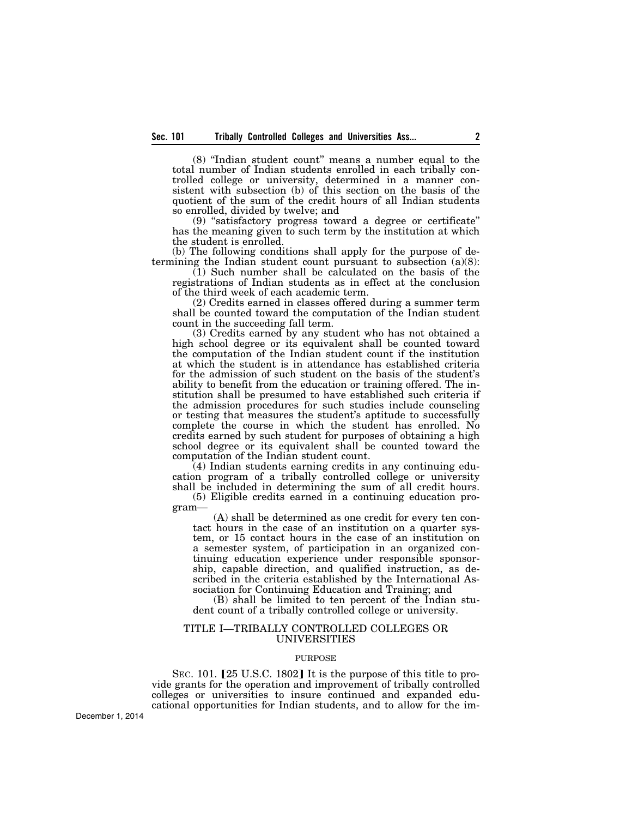(8) ''Indian student count'' means a number equal to the total number of Indian students enrolled in each tribally controlled college or university, determined in a manner consistent with subsection (b) of this section on the basis of the quotient of the sum of the credit hours of all Indian students so enrolled, divided by twelve; and

(9) ''satisfactory progress toward a degree or certificate'' has the meaning given to such term by the institution at which the student is enrolled.

(b) The following conditions shall apply for the purpose of determining the Indian student count pursuant to subsection (a)(8):

(1) Such number shall be calculated on the basis of the registrations of Indian students as in effect at the conclusion of the third week of each academic term.

(2) Credits earned in classes offered during a summer term shall be counted toward the computation of the Indian student count in the succeeding fall term.

(3) Credits earned by any student who has not obtained a high school degree or its equivalent shall be counted toward the computation of the Indian student count if the institution at which the student is in attendance has established criteria for the admission of such student on the basis of the student's ability to benefit from the education or training offered. The institution shall be presumed to have established such criteria if the admission procedures for such studies include counseling or testing that measures the student's aptitude to successfully complete the course in which the student has enrolled. No credits earned by such student for purposes of obtaining a high school degree or its equivalent shall be counted toward the computation of the Indian student count.

(4) Indian students earning credits in any continuing education program of a tribally controlled college or university shall be included in determining the sum of all credit hours.

(5) Eligible credits earned in a continuing education program—

(A) shall be determined as one credit for every ten contact hours in the case of an institution on a quarter system, or 15 contact hours in the case of an institution on a semester system, of participation in an organized continuing education experience under responsible sponsorship, capable direction, and qualified instruction, as described in the criteria established by the International Association for Continuing Education and Training; and

(B) shall be limited to ten percent of the Indian student count of a tribally controlled college or university.

# TITLE I—TRIBALLY CONTROLLED COLLEGES OR UNIVERSITIES

## PURPOSE

SEC. 101. [25 U.S.C. 1802] It is the purpose of this title to provide grants for the operation and improvement of tribally controlled colleges or universities to insure continued and expanded educational opportunities for Indian students, and to allow for the im-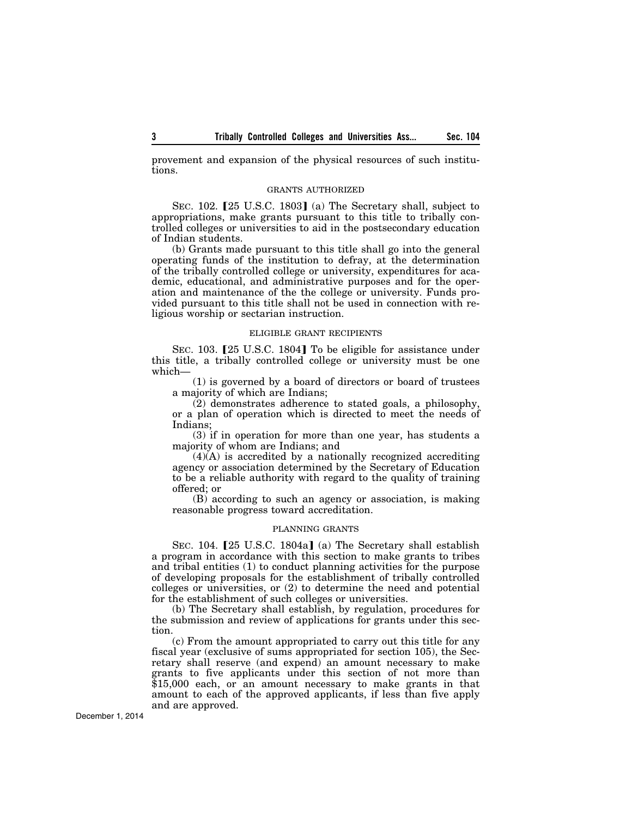provement and expansion of the physical resources of such institutions.

#### GRANTS AUTHORIZED

SEC. 102.  $[25 \text{ U.S.C. } 1803]$  (a) The Secretary shall, subject to appropriations, make grants pursuant to this title to tribally controlled colleges or universities to aid in the postsecondary education of Indian students.

(b) Grants made pursuant to this title shall go into the general operating funds of the institution to defray, at the determination of the tribally controlled college or university, expenditures for academic, educational, and administrative purposes and for the operation and maintenance of the the college or university. Funds provided pursuant to this title shall not be used in connection with religious worship or sectarian instruction.

#### ELIGIBLE GRANT RECIPIENTS

SEC. 103. [25 U.S.C. 1804] To be eligible for assistance under this title, a tribally controlled college or university must be one which—

(1) is governed by a board of directors or board of trustees a majority of which are Indians;

(2) demonstrates adherence to stated goals, a philosophy, or a plan of operation which is directed to meet the needs of Indians;

(3) if in operation for more than one year, has students a majority of whom are Indians; and

 $(4)(A)$  is accredited by a nationally recognized accrediting agency or association determined by the Secretary of Education to be a reliable authority with regard to the quality of training offered; or

(B) according to such an agency or association, is making reasonable progress toward accreditation.

# PLANNING GRANTS

SEC. 104. [25 U.S.C. 1804a] (a) The Secretary shall establish a program in accordance with this section to make grants to tribes and tribal entities (1) to conduct planning activities for the purpose of developing proposals for the establishment of tribally controlled colleges or universities, or (2) to determine the need and potential for the establishment of such colleges or universities.

(b) The Secretary shall establish, by regulation, procedures for the submission and review of applications for grants under this section.

(c) From the amount appropriated to carry out this title for any fiscal year (exclusive of sums appropriated for section 105), the Secretary shall reserve (and expend) an amount necessary to make grants to five applicants under this section of not more than \$15,000 each, or an amount necessary to make grants in that amount to each of the approved applicants, if less than five apply and are approved.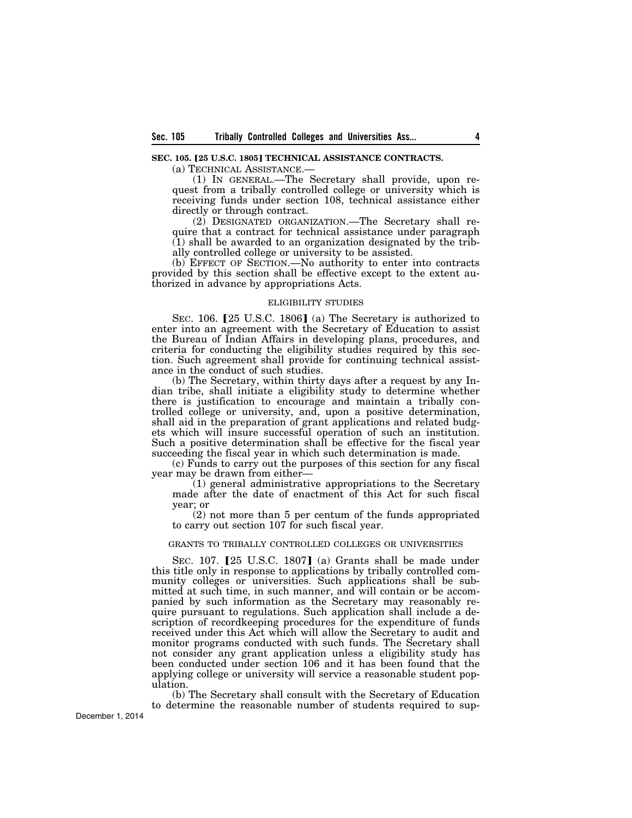# **SEC. 105. [25 U.S.C. 1805] TECHNICAL ASSISTANCE CONTRACTS.**

(a) TECHNICAL ASSISTANCE.—

(1) IN GENERAL.—The Secretary shall provide, upon request from a tribally controlled college or university which is receiving funds under section 108, technical assistance either directly or through contract.

(2) DESIGNATED ORGANIZATION.—The Secretary shall require that a contract for technical assistance under paragraph (1) shall be awarded to an organization designated by the tribally controlled college or university to be assisted.

(b) EFFECT OF SECTION.—No authority to enter into contracts provided by this section shall be effective except to the extent authorized in advance by appropriations Acts.

## ELIGIBILITY STUDIES

SEC. 106.  $[25 \text{ U.S.C. } 1806]$  (a) The Secretary is authorized to enter into an agreement with the Secretary of Education to assist the Bureau of Indian Affairs in developing plans, procedures, and criteria for conducting the eligibility studies required by this section. Such agreement shall provide for continuing technical assistance in the conduct of such studies.

(b) The Secretary, within thirty days after a request by any Indian tribe, shall initiate a eligibility study to determine whether there is justification to encourage and maintain a tribally controlled college or university, and, upon a positive determination, shall aid in the preparation of grant applications and related budgets which will insure successful operation of such an institution. Such a positive determination shall be effective for the fiscal year succeeding the fiscal year in which such determination is made.

(c) Funds to carry out the purposes of this section for any fiscal year may be drawn from either—

(1) general administrative appropriations to the Secretary made after the date of enactment of this Act for such fiscal year; or

(2) not more than 5 per centum of the funds appropriated to carry out section 107 for such fiscal year.

## GRANTS TO TRIBALLY CONTROLLED COLLEGES OR UNIVERSITIES

SEC.  $107.$  [25 U.S.C. 1807] (a) Grants shall be made under this title only in response to applications by tribally controlled community colleges or universities. Such applications shall be submitted at such time, in such manner, and will contain or be accompanied by such information as the Secretary may reasonably require pursuant to regulations. Such application shall include a description of recordkeeping procedures for the expenditure of funds received under this Act which will allow the Secretary to audit and monitor programs conducted with such funds. The Secretary shall not consider any grant application unless a eligibility study has been conducted under section 106 and it has been found that the applying college or university will service a reasonable student population.

(b) The Secretary shall consult with the Secretary of Education to determine the reasonable number of students required to sup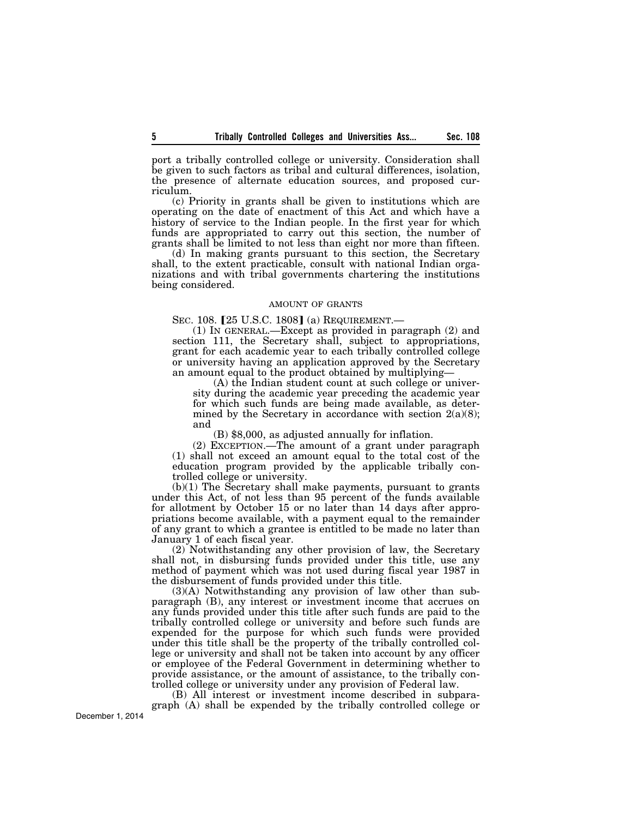port a tribally controlled college or university. Consideration shall be given to such factors as tribal and cultural differences, isolation, the presence of alternate education sources, and proposed curriculum.

(c) Priority in grants shall be given to institutions which are operating on the date of enactment of this Act and which have a history of service to the Indian people. In the first year for which funds are appropriated to carry out this section, the number of grants shall be limited to not less than eight nor more than fifteen.

(d) In making grants pursuant to this section, the Secretary shall, to the extent practicable, consult with national Indian organizations and with tribal governments chartering the institutions being considered.

## AMOUNT OF GRANTS

SEC. 108. [25 U.S.C. 1808] (a) REQUIREMENT.-

(1) IN GENERAL.—Except as provided in paragraph (2) and section 111, the Secretary shall, subject to appropriations, grant for each academic year to each tribally controlled college or university having an application approved by the Secretary an amount equal to the product obtained by multiplying—

(A) the Indian student count at such college or university during the academic year preceding the academic year for which such funds are being made available, as determined by the Secretary in accordance with section  $2(a)(8)$ ; and

(B) \$8,000, as adjusted annually for inflation.

(2) EXCEPTION.—The amount of a grant under paragraph (1) shall not exceed an amount equal to the total cost of the education program provided by the applicable tribally controlled college or university.

 $(b)(1)$  The Secretary shall make payments, pursuant to grants under this Act, of not less than 95 percent of the funds available for allotment by October 15 or no later than 14 days after appropriations become available, with a payment equal to the remainder of any grant to which a grantee is entitled to be made no later than January 1 of each fiscal year.

(2) Notwithstanding any other provision of law, the Secretary shall not, in disbursing funds provided under this title, use any method of payment which was not used during fiscal year 1987 in the disbursement of funds provided under this title.

(3)(A) Notwithstanding any provision of law other than subparagraph (B), any interest or investment income that accrues on any funds provided under this title after such funds are paid to the tribally controlled college or university and before such funds are expended for the purpose for which such funds were provided under this title shall be the property of the tribally controlled college or university and shall not be taken into account by any officer or employee of the Federal Government in determining whether to provide assistance, or the amount of assistance, to the tribally controlled college or university under any provision of Federal law.

(B) All interest or investment income described in subparagraph (A) shall be expended by the tribally controlled college or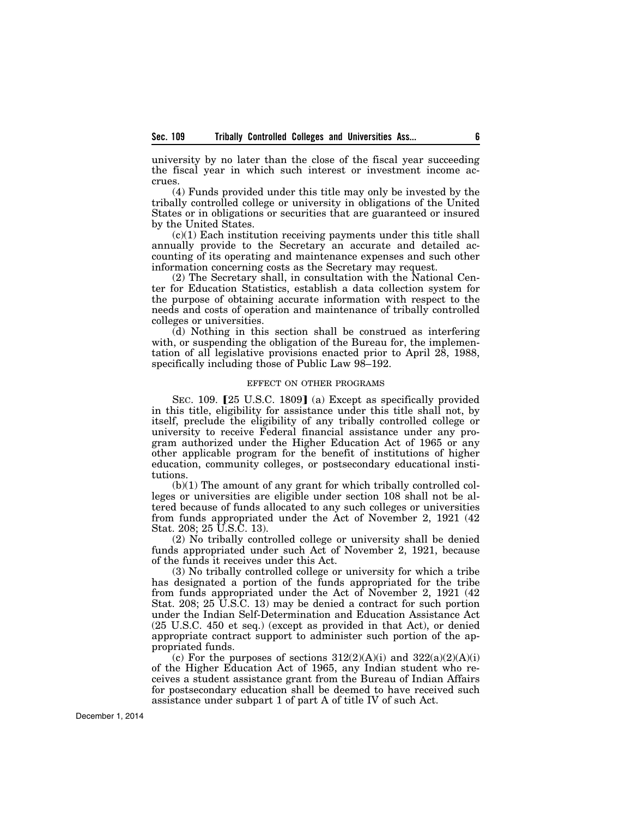university by no later than the close of the fiscal year succeeding the fiscal year in which such interest or investment income accrues.

(4) Funds provided under this title may only be invested by the tribally controlled college or university in obligations of the United States or in obligations or securities that are guaranteed or insured by the United States.

(c)(1) Each institution receiving payments under this title shall annually provide to the Secretary an accurate and detailed accounting of its operating and maintenance expenses and such other information concerning costs as the Secretary may request.

(2) The Secretary shall, in consultation with the National Center for Education Statistics, establish a data collection system for the purpose of obtaining accurate information with respect to the needs and costs of operation and maintenance of tribally controlled colleges or universities.

(d) Nothing in this section shall be construed as interfering with, or suspending the obligation of the Bureau for, the implementation of all legislative provisions enacted prior to April 28, 1988, specifically including those of Public Law 98–192.

## EFFECT ON OTHER PROGRAMS

SEC. 109.  $[25 \text{ U.S.C. } 1809]$  (a) Except as specifically provided in this title, eligibility for assistance under this title shall not, by itself, preclude the eligibility of any tribally controlled college or university to receive Federal financial assistance under any program authorized under the Higher Education Act of 1965 or any other applicable program for the benefit of institutions of higher education, community colleges, or postsecondary educational institutions.

(b)(1) The amount of any grant for which tribally controlled colleges or universities are eligible under section 108 shall not be altered because of funds allocated to any such colleges or universities from funds appropriated under the Act of November 2, 1921 (42 Stat. 208; 25 U.S.C. 13).

(2) No tribally controlled college or university shall be denied funds appropriated under such Act of November 2, 1921, because of the funds it receives under this Act.

(3) No tribally controlled college or university for which a tribe has designated a portion of the funds appropriated for the tribe from funds appropriated under the Act of November 2, 1921 (42 Stat. 208; 25 U.S.C. 13) may be denied a contract for such portion under the Indian Self-Determination and Education Assistance Act (25 U.S.C. 450 et seq.) (except as provided in that Act), or denied appropriate contract support to administer such portion of the appropriated funds.

(c) For the purposes of sections  $312(2)(A)(i)$  and  $322(a)(2)(A)(i)$ of the Higher Education Act of 1965, any Indian student who receives a student assistance grant from the Bureau of Indian Affairs for postsecondary education shall be deemed to have received such assistance under subpart 1 of part A of title IV of such Act.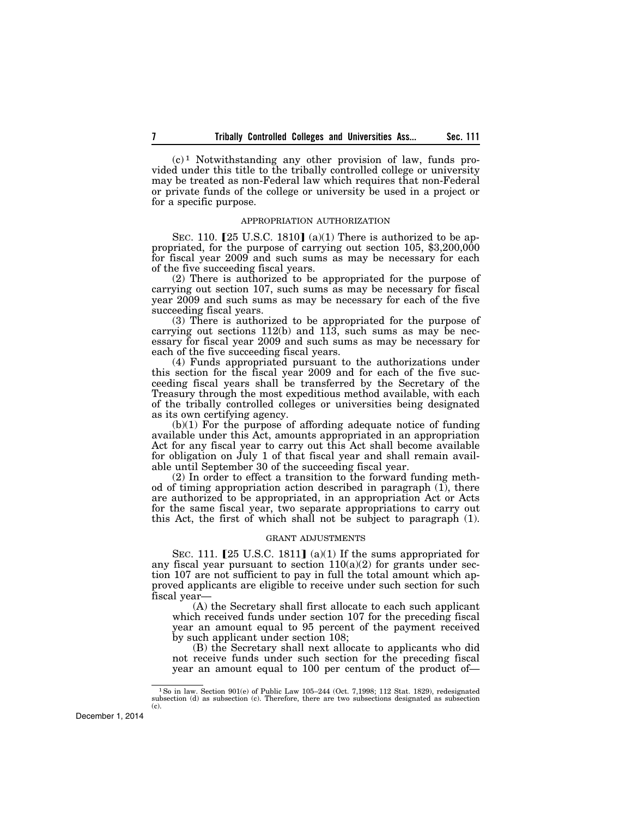$(c)^1$  Notwithstanding any other provision of law, funds provided under this title to the tribally controlled college or university may be treated as non-Federal law which requires that non-Federal or private funds of the college or university be used in a project or for a specific purpose.

## APPROPRIATION AUTHORIZATION

SEC. 110.  $[25 \text{ U.S.C. } 1810]$  (a)(1) There is authorized to be appropriated, for the purpose of carrying out section 105, \$3,200,000 for fiscal year 2009 and such sums as may be necessary for each of the five succeeding fiscal years.

(2) There is authorized to be appropriated for the purpose of carrying out section 107, such sums as may be necessary for fiscal year 2009 and such sums as may be necessary for each of the five succeeding fiscal years.

(3) There is authorized to be appropriated for the purpose of carrying out sections  $112(b)$  and  $113$ , such sums as may be necessary for fiscal year 2009 and such sums as may be necessary for each of the five succeeding fiscal years.

(4) Funds appropriated pursuant to the authorizations under this section for the fiscal year 2009 and for each of the five succeeding fiscal years shall be transferred by the Secretary of the Treasury through the most expeditious method available, with each of the tribally controlled colleges or universities being designated as its own certifying agency.

(b)(1) For the purpose of affording adequate notice of funding available under this Act, amounts appropriated in an appropriation Act for any fiscal year to carry out this Act shall become available for obligation on July 1 of that fiscal year and shall remain available until September 30 of the succeeding fiscal year.

(2) In order to effect a transition to the forward funding method of timing appropriation action described in paragraph (1), there are authorized to be appropriated, in an appropriation Act or Acts for the same fiscal year, two separate appropriations to carry out this Act, the first of which shall not be subject to paragraph (1).

## GRANT ADJUSTMENTS

SEC. 111.  $[25 \text{ U.S.C. } 1811]$  (a)(1) If the sums appropriated for any fiscal year pursuant to section  $110(a)(2)$  for grants under section 107 are not sufficient to pay in full the total amount which approved applicants are eligible to receive under such section for such fiscal year—

(A) the Secretary shall first allocate to each such applicant which received funds under section 107 for the preceding fiscal year an amount equal to 95 percent of the payment received by such applicant under section 108;

(B) the Secretary shall next allocate to applicants who did not receive funds under such section for the preceding fiscal year an amount equal to 100 per centum of the product of—

<sup>&</sup>lt;sup>1</sup>So in law. Section 901(e) of Public Law 105–244 (Oct. 7,1998; 112 Stat. 1829), redesignated subsection (d) as subsection (c). Therefore, there are two subsections designated as subsection (c).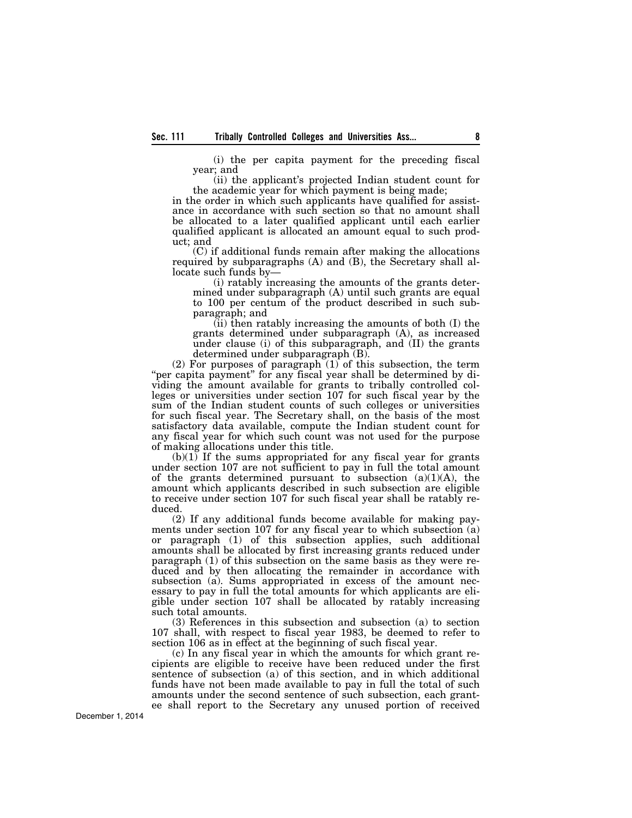(i) the per capita payment for the preceding fiscal year; and

(ii) the applicant's projected Indian student count for the academic year for which payment is being made;

in the order in which such applicants have qualified for assistance in accordance with such section so that no amount shall be allocated to a later qualified applicant until each earlier qualified applicant is allocated an amount equal to such product; and

(C) if additional funds remain after making the allocations required by subparagraphs (A) and (B), the Secretary shall allocate such funds by—

(i) ratably increasing the amounts of the grants determined under subparagraph (A) until such grants are equal to 100 per centum of the product described in such subparagraph; and

(ii) then ratably increasing the amounts of both (I) the grants determined under subparagraph (A), as increased under clause (i) of this subparagraph, and (II) the grants determined under subparagraph (B).

(2) For purposes of paragraph (1) of this subsection, the term "per capita payment" for any fiscal year shall be determined by dividing the amount available for grants to tribally controlled colleges or universities under section 107 for such fiscal year by the sum of the Indian student counts of such colleges or universities for such fiscal year. The Secretary shall, on the basis of the most satisfactory data available, compute the Indian student count for any fiscal year for which such count was not used for the purpose of making allocations under this title.

(b)(1) If the sums appropriated for any fiscal year for grants under section 107 are not sufficient to pay in full the total amount of the grants determined pursuant to subsection  $(a)(1)(A)$ , the amount which applicants described in such subsection are eligible to receive under section 107 for such fiscal year shall be ratably reduced.

(2) If any additional funds become available for making payments under section 107 for any fiscal year to which subsection (a) or paragraph (1) of this subsection applies, such additional amounts shall be allocated by first increasing grants reduced under paragraph (1) of this subsection on the same basis as they were reduced and by then allocating the remainder in accordance with subsection (a). Sums appropriated in excess of the amount necessary to pay in full the total amounts for which applicants are eligible under section 107 shall be allocated by ratably increasing such total amounts.

(3) References in this subsection and subsection (a) to section 107 shall, with respect to fiscal year 1983, be deemed to refer to section 106 as in effect at the beginning of such fiscal year.

(c) In any fiscal year in which the amounts for which grant recipients are eligible to receive have been reduced under the first sentence of subsection (a) of this section, and in which additional funds have not been made available to pay in full the total of such amounts under the second sentence of such subsection, each grantee shall report to the Secretary any unused portion of received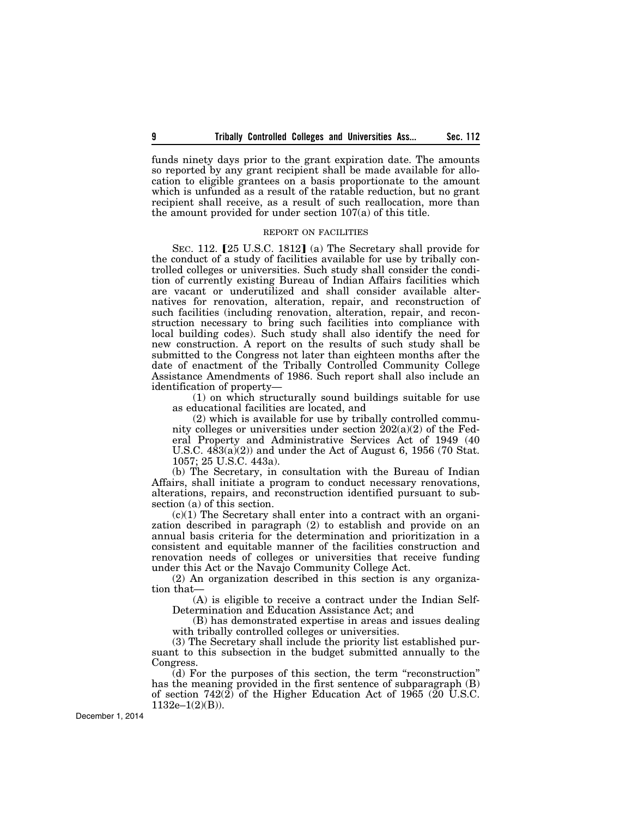funds ninety days prior to the grant expiration date. The amounts so reported by any grant recipient shall be made available for allocation to eligible grantees on a basis proportionate to the amount which is unfunded as a result of the ratable reduction, but no grant recipient shall receive, as a result of such reallocation, more than the amount provided for under section 107(a) of this title.

# REPORT ON FACILITIES

SEC. 112. [25 U.S.C. 1812] (a) The Secretary shall provide for the conduct of a study of facilities available for use by tribally controlled colleges or universities. Such study shall consider the condition of currently existing Bureau of Indian Affairs facilities which are vacant or underutilized and shall consider available alternatives for renovation, alteration, repair, and reconstruction of such facilities (including renovation, alteration, repair, and reconstruction necessary to bring such facilities into compliance with local building codes). Such study shall also identify the need for new construction. A report on the results of such study shall be submitted to the Congress not later than eighteen months after the date of enactment of the Tribally Controlled Community College Assistance Amendments of 1986. Such report shall also include an identification of property—

(1) on which structurally sound buildings suitable for use as educational facilities are located, and

(2) which is available for use by tribally controlled community colleges or universities under section 202(a)(2) of the Federal Property and Administrative Services Act of 1949 (40 U.S.C.  $483(a)(2)$  and under the Act of August 6, 1956 (70 Stat. 1057; 25 U.S.C. 443a).

(b) The Secretary, in consultation with the Bureau of Indian Affairs, shall initiate a program to conduct necessary renovations, alterations, repairs, and reconstruction identified pursuant to subsection (a) of this section.

 $(c)(1)$  The Secretary shall enter into a contract with an organization described in paragraph (2) to establish and provide on an annual basis criteria for the determination and prioritization in a consistent and equitable manner of the facilities construction and renovation needs of colleges or universities that receive funding under this Act or the Navajo Community College Act.

(2) An organization described in this section is any organization that-

(A) is eligible to receive a contract under the Indian Self-Determination and Education Assistance Act; and

(B) has demonstrated expertise in areas and issues dealing with tribally controlled colleges or universities.

(3) The Secretary shall include the priority list established pursuant to this subsection in the budget submitted annually to the Congress.

(d) For the purposes of this section, the term ''reconstruction'' has the meaning provided in the first sentence of subparagraph (B) of section 742(2) of the Higher Education Act of 1965 (20 U.S.C.  $1132e-1(2)(B)$ ).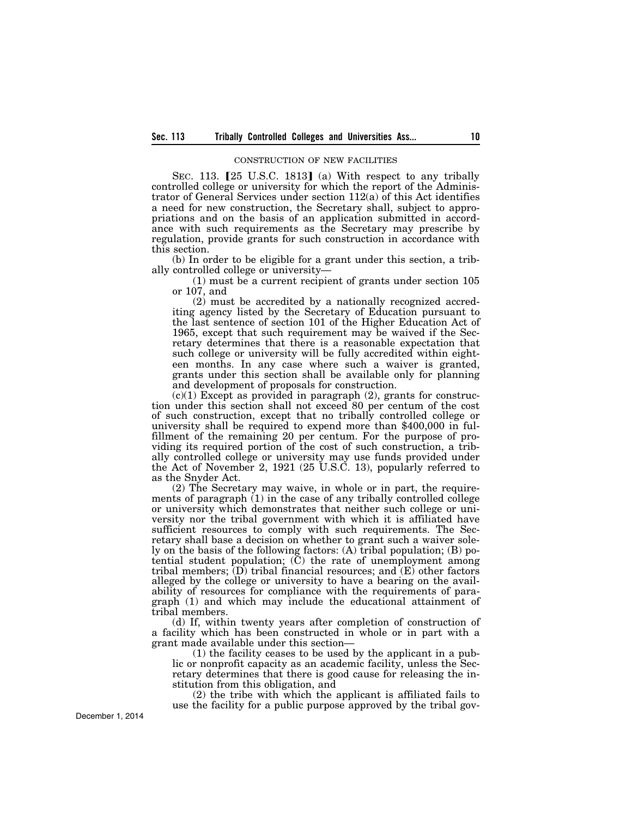#### CONSTRUCTION OF NEW FACILITIES

SEC. 113.  $[25 \text{ U.S.C. } 1813]$  (a) With respect to any tribally controlled college or university for which the report of the Administrator of General Services under section 112(a) of this Act identifies a need for new construction, the Secretary shall, subject to appropriations and on the basis of an application submitted in accordance with such requirements as the Secretary may prescribe by regulation, provide grants for such construction in accordance with this section.

(b) In order to be eligible for a grant under this section, a tribally controlled college or university—

(1) must be a current recipient of grants under section 105 or 107, and

(2) must be accredited by a nationally recognized accrediting agency listed by the Secretary of Education pursuant to the last sentence of section 101 of the Higher Education Act of 1965, except that such requirement may be waived if the Secretary determines that there is a reasonable expectation that such college or university will be fully accredited within eighteen months. In any case where such a waiver is granted, grants under this section shall be available only for planning and development of proposals for construction.

 $(c)(1)$  Except as provided in paragraph  $(2)$ , grants for construction under this section shall not exceed 80 per centum of the cost of such construction, except that no tribally controlled college or university shall be required to expend more than \$400,000 in fulfillment of the remaining 20 per centum. For the purpose of providing its required portion of the cost of such construction, a tribally controlled college or university may use funds provided under the Act of November 2, 1921 (25 U.S.C. 13), popularly referred to as the Snyder Act.

(2) The Secretary may waive, in whole or in part, the requirements of paragraph (1) in the case of any tribally controlled college or university which demonstrates that neither such college or university nor the tribal government with which it is affiliated have sufficient resources to comply with such requirements. The Secretary shall base a decision on whether to grant such a waiver solely on the basis of the following factors: (A) tribal population; (B) potential student population; (C) the rate of unemployment among tribal members;  $(D)$  tribal financial resources; and  $(E)$  other factors alleged by the college or university to have a bearing on the availability of resources for compliance with the requirements of paragraph (1) and which may include the educational attainment of tribal members.

(d) If, within twenty years after completion of construction of a facility which has been constructed in whole or in part with a grant made available under this section—

(1) the facility ceases to be used by the applicant in a public or nonprofit capacity as an academic facility, unless the Secretary determines that there is good cause for releasing the institution from this obligation, and

(2) the tribe with which the applicant is affiliated fails to use the facility for a public purpose approved by the tribal gov-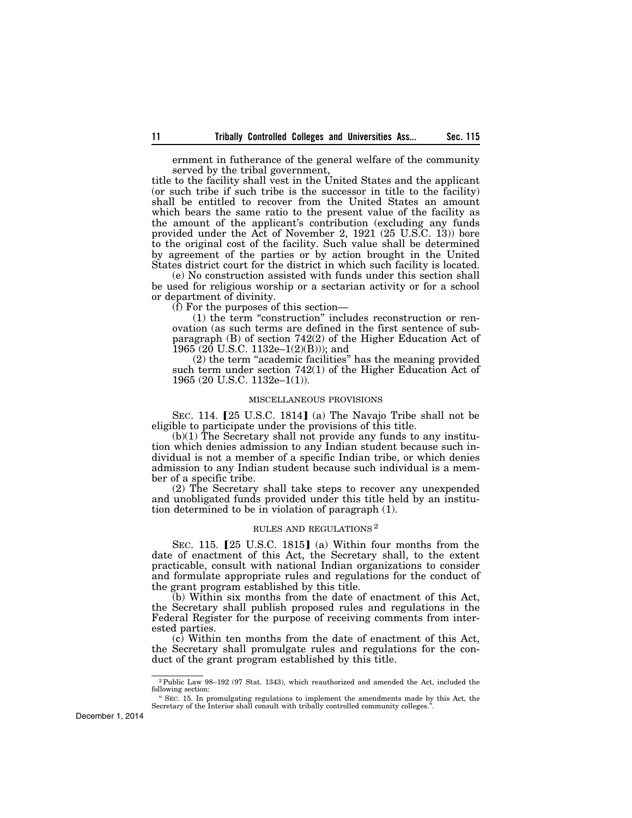ernment in futherance of the general welfare of the community served by the tribal government,

title to the facility shall vest in the United States and the applicant (or such tribe if such tribe is the successor in title to the facility) shall be entitled to recover from the United States an amount which bears the same ratio to the present value of the facility as the amount of the applicant's contribution (excluding any funds provided under the Act of November 2, 1921 (25 U.S.C. 13)) bore to the original cost of the facility. Such value shall be determined by agreement of the parties or by action brought in the United States district court for the district in which such facility is located.

(e) No construction assisted with funds under this section shall be used for religious worship or a sectarian activity or for a school or department of divinity.

(f) For the purposes of this section—

(1) the term ''construction'' includes reconstruction or renovation (as such terms are defined in the first sentence of subparagraph (B) of section 742(2) of the Higher Education Act of  $1965 (20$  U.S.C.  $1132e-1(2)(B))$ ; and

(2) the term ''academic facilities'' has the meaning provided such term under section 742(1) of the Higher Education Act of 1965 (20 U.S.C. 1132e–1(1)).

#### MISCELLANEOUS PROVISIONS

SEC. 114.  $[25 \text{ U.S.C. } 1814]$  (a) The Navajo Tribe shall not be eligible to participate under the provisions of this title.

(b)(1) The Secretary shall not provide any funds to any institution which denies admission to any Indian student because such individual is not a member of a specific Indian tribe, or which denies admission to any Indian student because such individual is a member of a specific tribe.

(2) The Secretary shall take steps to recover any unexpended and unobligated funds provided under this title held by an institution determined to be in violation of paragraph (1).

### RULES AND REGULATIONS 2

SEC. 115.  $[25 \text{ U.S.C. } 1815]$  (a) Within four months from the date of enactment of this Act, the Secretary shall, to the extent practicable, consult with national Indian organizations to consider and formulate appropriate rules and regulations for the conduct of the grant program established by this title.

(b) Within six months from the date of enactment of this Act, the Secretary shall publish proposed rules and regulations in the Federal Register for the purpose of receiving comments from interested parties.

(c) Within ten months from the date of enactment of this Act, the Secretary shall promulgate rules and regulations for the conduct of the grant program established by this title.

<sup>2</sup>Public Law 98–192 (97 Stat. 1343), which reauthorized and amended the Act, included the following section:

<sup>&#</sup>x27;' SEC. 15. In promulgating regulations to implement the amendments made by this Act, the Secretary of the Interior shall consult with tribally controlled community colleges.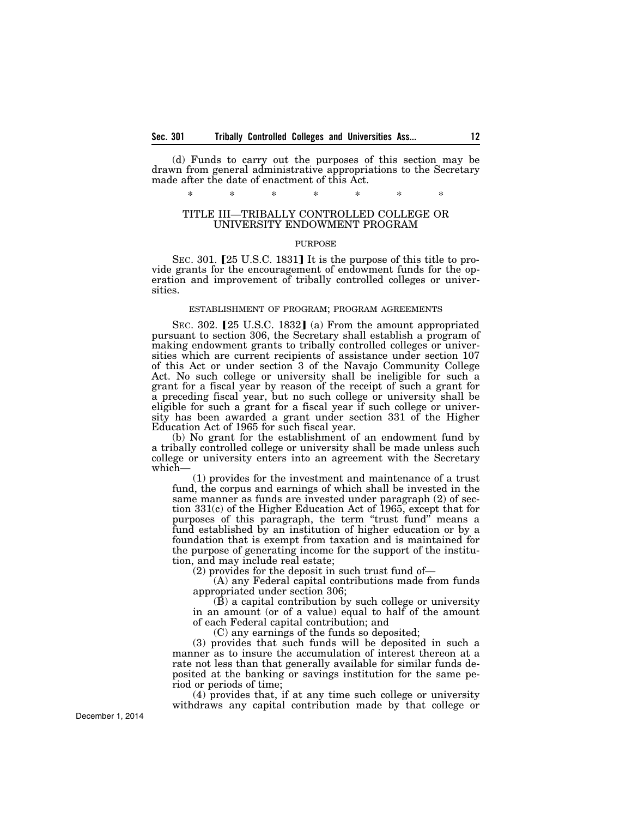(d) Funds to carry out the purposes of this section may be drawn from general administrative appropriations to the Secretary made after the date of enactment of this Act.

\* \* \* \* \* \* \*

# TITLE III—TRIBALLY CONTROLLED COLLEGE OR UNIVERSITY ENDOWMENT PROGRAM

## PURPOSE

SEC. 301. [25 U.S.C. 1831] It is the purpose of this title to provide grants for the encouragement of endowment funds for the operation and improvement of tribally controlled colleges or universities.

#### ESTABLISHMENT OF PROGRAM; PROGRAM AGREEMENTS

SEC. 302.  $[25 \text{ U.S.C. } 1832]$  (a) From the amount appropriated pursuant to section 306, the Secretary shall establish a program of making endowment grants to tribally controlled colleges or universities which are current recipients of assistance under section 107 of this Act or under section 3 of the Navajo Community College Act. No such college or university shall be ineligible for such a grant for a fiscal year by reason of the receipt of such a grant for a preceding fiscal year, but no such college or university shall be eligible for such a grant for a fiscal year if such college or university has been awarded a grant under section 331 of the Higher Education Act of 1965 for such fiscal year.

(b) No grant for the establishment of an endowment fund by a tribally controlled college or university shall be made unless such college or university enters into an agreement with the Secretary which—

(1) provides for the investment and maintenance of a trust fund, the corpus and earnings of which shall be invested in the same manner as funds are invested under paragraph (2) of section 331(c) of the Higher Education Act of 1965, except that for purposes of this paragraph, the term "trust fund" means a fund established by an institution of higher education or by a foundation that is exempt from taxation and is maintained for the purpose of generating income for the support of the institution, and may include real estate;

(2) provides for the deposit in such trust fund of—

(A) any Federal capital contributions made from funds appropriated under section 306;

(B) a capital contribution by such college or university in an amount (or of a value) equal to half of the amount of each Federal capital contribution; and

(C) any earnings of the funds so deposited;

(3) provides that such funds will be deposited in such a manner as to insure the accumulation of interest thereon at a rate not less than that generally available for similar funds deposited at the banking or savings institution for the same period or periods of time;

(4) provides that, if at any time such college or university withdraws any capital contribution made by that college or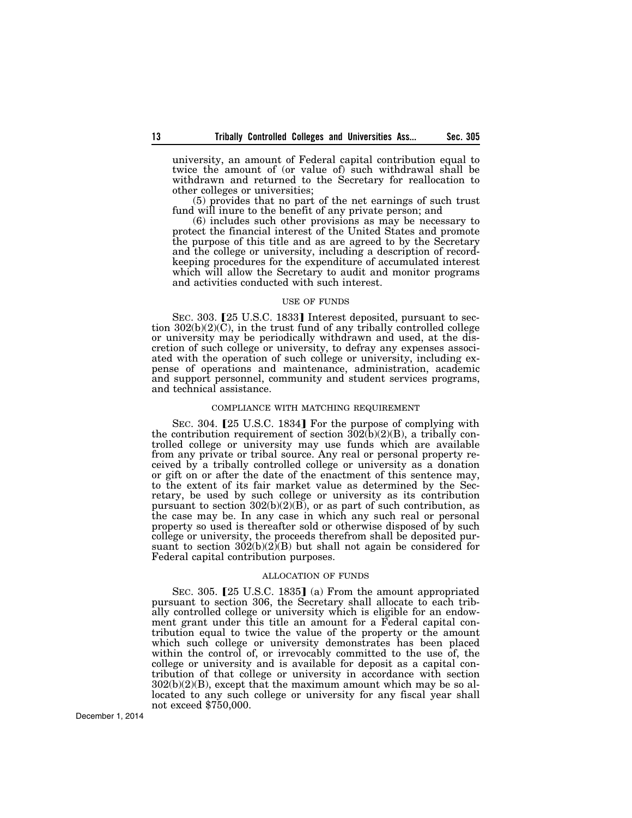university, an amount of Federal capital contribution equal to twice the amount of (or value of) such withdrawal shall be withdrawn and returned to the Secretary for reallocation to other colleges or universities;

(5) provides that no part of the net earnings of such trust fund will inure to the benefit of any private person; and

(6) includes such other provisions as may be necessary to protect the financial interest of the United States and promote the purpose of this title and as are agreed to by the Secretary and the college or university, including a description of recordkeeping procedures for the expenditure of accumulated interest which will allow the Secretary to audit and monitor programs and activities conducted with such interest.

#### USE OF FUNDS

SEC. 303. [25 U.S.C. 1833] Interest deposited, pursuant to section 302(b)(2)(C), in the trust fund of any tribally controlled college or university may be periodically withdrawn and used, at the discretion of such college or university, to defray any expenses associated with the operation of such college or university, including expense of operations and maintenance, administration, academic and support personnel, community and student services programs, and technical assistance.

## COMPLIANCE WITH MATCHING REQUIREMENT

SEC. 304. [25 U.S.C. 1834] For the purpose of complying with the contribution requirement of section  $\hat{302}(\hat{b})(2)(B)$ , a tribally controlled college or university may use funds which are available from any private or tribal source. Any real or personal property received by a tribally controlled college or university as a donation or gift on or after the date of the enactment of this sentence may, to the extent of its fair market value as determined by the Secretary, be used by such college or university as its contribution pursuant to section  $302(b)(2)(B)$ , or as part of such contribution, as the case may be. In any case in which any such real or personal property so used is thereafter sold or otherwise disposed of by such college or university, the proceeds therefrom shall be deposited pursuant to section  $302(b)(2)(B)$  but shall not again be considered for Federal capital contribution purposes.

#### ALLOCATION OF FUNDS

SEC. 305.  $[25 \text{ U.S.C. } 1835]$  (a) From the amount appropriated pursuant to section 306, the Secretary shall allocate to each tribally controlled college or university which is eligible for an endowment grant under this title an amount for a Federal capital contribution equal to twice the value of the property or the amount which such college or university demonstrates has been placed within the control of, or irrevocably committed to the use of, the college or university and is available for deposit as a capital contribution of that college or university in accordance with section  $302(b)(2)(B)$ , except that the maximum amount which may be so allocated to any such college or university for any fiscal year shall not exceed \$750,000.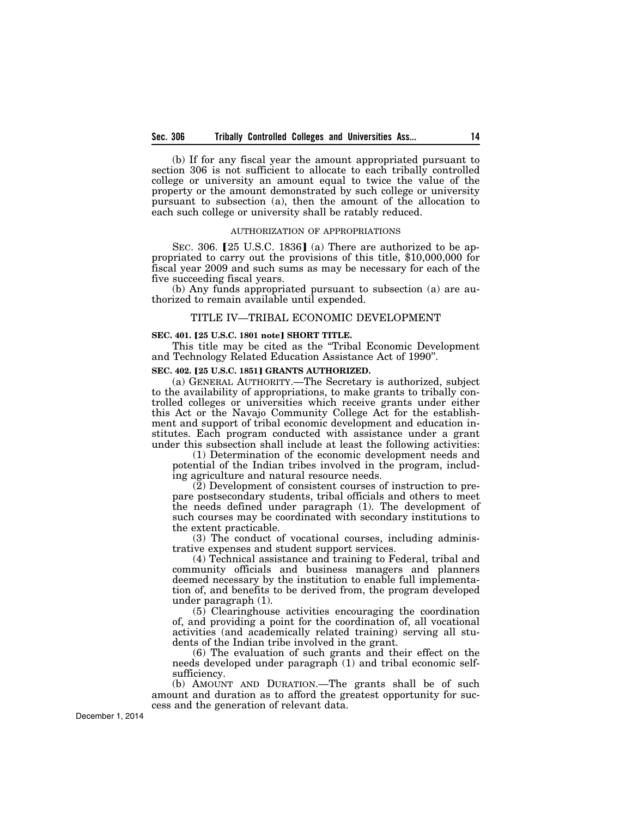(b) If for any fiscal year the amount appropriated pursuant to section 306 is not sufficient to allocate to each tribally controlled college or university an amount equal to twice the value of the property or the amount demonstrated by such college or university pursuant to subsection (a), then the amount of the allocation to each such college or university shall be ratably reduced.

#### AUTHORIZATION OF APPROPRIATIONS

SEC. 306.  $[25 \text{ U.S.C. } 1836]$  (a) There are authorized to be appropriated to carry out the provisions of this title, \$10,000,000 for fiscal year 2009 and such sums as may be necessary for each of the five succeeding fiscal years.

(b) Any funds appropriated pursuant to subsection (a) are authorized to remain available until expended.

# TITLE IV—TRIBAL ECONOMIC DEVELOPMENT

#### **SEC. 401.** ø**25 U.S.C. 1801 note**¿ **SHORT TITLE.**

This title may be cited as the ''Tribal Economic Development and Technology Related Education Assistance Act of 1990''.

## **SEC. 402. [25 U.S.C. 1851] GRANTS AUTHORIZED.**

(a) GENERAL AUTHORITY.—The Secretary is authorized, subject to the availability of appropriations, to make grants to tribally controlled colleges or universities which receive grants under either this Act or the Navajo Community College Act for the establishment and support of tribal economic development and education institutes. Each program conducted with assistance under a grant under this subsection shall include at least the following activities:

(1) Determination of the economic development needs and potential of the Indian tribes involved in the program, including agriculture and natural resource needs.

(2) Development of consistent courses of instruction to prepare postsecondary students, tribal officials and others to meet the needs defined under paragraph (1). The development of such courses may be coordinated with secondary institutions to the extent practicable.

(3) The conduct of vocational courses, including administrative expenses and student support services.

(4) Technical assistance and training to Federal, tribal and community officials and business managers and planners deemed necessary by the institution to enable full implementation of, and benefits to be derived from, the program developed under paragraph (1).

(5) Clearinghouse activities encouraging the coordination of, and providing a point for the coordination of, all vocational activities (and academically related training) serving all students of the Indian tribe involved in the grant.

(6) The evaluation of such grants and their effect on the needs developed under paragraph (1) and tribal economic selfsufficiency.

(b) AMOUNT AND DURATION.—The grants shall be of such amount and duration as to afford the greatest opportunity for success and the generation of relevant data.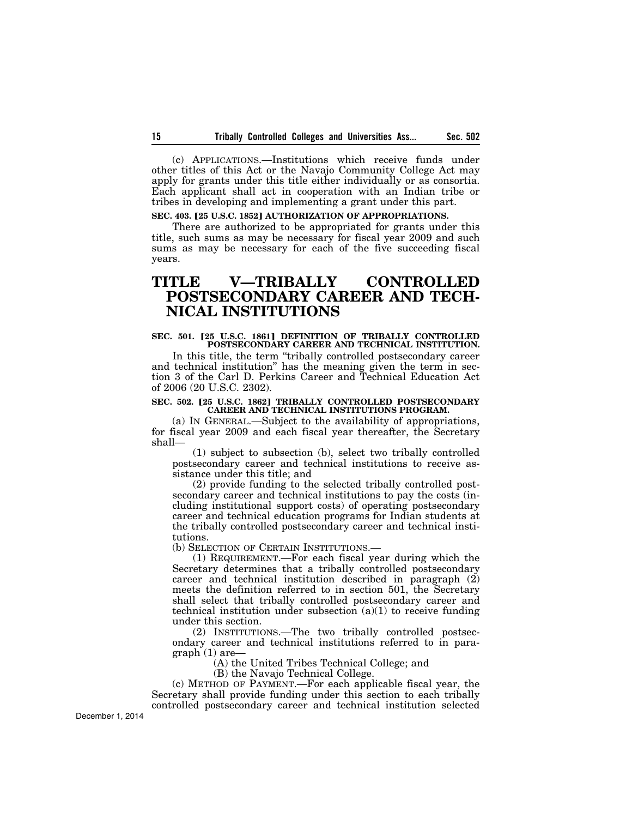(c) APPLICATIONS.—Institutions which receive funds under other titles of this Act or the Navajo Community College Act may apply for grants under this title either individually or as consortia. Each applicant shall act in cooperation with an Indian tribe or tribes in developing and implementing a grant under this part.

# **SEC. 403. [25 U.S.C. 1852] AUTHORIZATION OF APPROPRIATIONS.**

There are authorized to be appropriated for grants under this title, such sums as may be necessary for fiscal year 2009 and such sums as may be necessary for each of the five succeeding fiscal years.

# **TITLE V—TRIBALLY CONTROLLED POSTSECONDARY CAREER AND TECH-NICAL INSTITUTIONS**

# **SEC. 501. [25 U.S.C. 1861] DEFINITION OF TRIBALLY CONTROLLED** POSTSECONDARY CAREER AND TECHNICAL INSTITUTION.

In this title, the term ''tribally controlled postsecondary career and technical institution'' has the meaning given the term in section 3 of the Carl D. Perkins Career and Technical Education Act of 2006 (20 U.S.C. 2302).

#### **SEC. 502. [25 U.S.C. 1862] TRIBALLY CONTROLLED POSTSECONDARY CAREER AND TECHNICAL INSTITUTIONS PROGRAM.**

(a) IN GENERAL.—Subject to the availability of appropriations, for fiscal year 2009 and each fiscal year thereafter, the Secretary shall—

(1) subject to subsection (b), select two tribally controlled postsecondary career and technical institutions to receive assistance under this title; and

(2) provide funding to the selected tribally controlled postsecondary career and technical institutions to pay the costs (including institutional support costs) of operating postsecondary career and technical education programs for Indian students at the tribally controlled postsecondary career and technical institutions.

(b) SELECTION OF CERTAIN INSTITUTIONS.—

(1) REQUIREMENT.—For each fiscal year during which the Secretary determines that a tribally controlled postsecondary career and technical institution described in paragraph (2) meets the definition referred to in section 501, the Secretary shall select that tribally controlled postsecondary career and technical institution under subsection  $(a)(1)$  to receive funding under this section.

(2) INSTITUTIONS.—The two tribally controlled postsecondary career and technical institutions referred to in paragraph (1) are—

(A) the United Tribes Technical College; and

(B) the Navajo Technical College.

(c) METHOD OF PAYMENT.—For each applicable fiscal year, the Secretary shall provide funding under this section to each tribally controlled postsecondary career and technical institution selected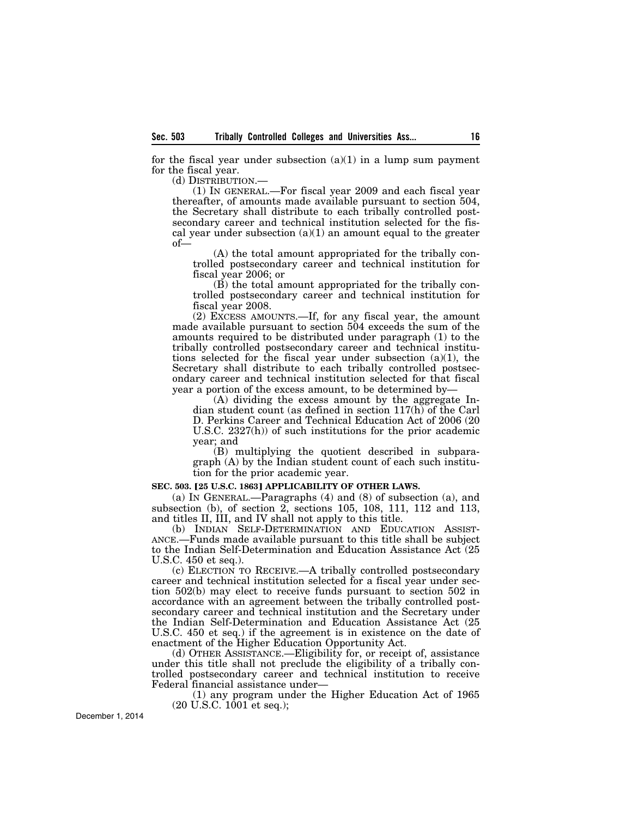for the fiscal year under subsection  $(a)(1)$  in a lump sum payment for the fiscal year.

(d) DISTRIBUTION.—

(1) IN GENERAL.—For fiscal year 2009 and each fiscal year thereafter, of amounts made available pursuant to section 504, the Secretary shall distribute to each tribally controlled postsecondary career and technical institution selected for the fiscal year under subsection  $(a)(1)$  an amount equal to the greater of—

(A) the total amount appropriated for the tribally controlled postsecondary career and technical institution for fiscal year 2006; or

(B) the total amount appropriated for the tribally controlled postsecondary career and technical institution for fiscal year 2008.

(2) EXCESS AMOUNTS.—If, for any fiscal year, the amount made available pursuant to section 504 exceeds the sum of the amounts required to be distributed under paragraph (1) to the tribally controlled postsecondary career and technical institutions selected for the fiscal year under subsection (a)(1), the Secretary shall distribute to each tribally controlled postsecondary career and technical institution selected for that fiscal year a portion of the excess amount, to be determined by—

(A) dividing the excess amount by the aggregate Indian student count (as defined in section 117(h) of the Carl D. Perkins Career and Technical Education Act of 2006 (20 U.S.C. 2327(h)) of such institutions for the prior academic year; and

(B) multiplying the quotient described in subparagraph (A) by the Indian student count of each such institution for the prior academic year.

#### **SEC. 503. [25 U.S.C. 1863] APPLICABILITY OF OTHER LAWS.**

(a) IN GENERAL.—Paragraphs (4) and (8) of subsection (a), and subsection (b), of section 2, sections 105, 108, 111, 112 and 113, and titles II, III, and IV shall not apply to this title.

(b) INDIAN SELF-DETERMINATION AND EDUCATION ASSIST-ANCE.—Funds made available pursuant to this title shall be subject to the Indian Self-Determination and Education Assistance Act (25 U.S.C. 450 et seq.).

(c) ELECTION TO RECEIVE.—A tribally controlled postsecondary career and technical institution selected for a fiscal year under section 502(b) may elect to receive funds pursuant to section 502 in accordance with an agreement between the tribally controlled postsecondary career and technical institution and the Secretary under the Indian Self-Determination and Education Assistance Act (25 U.S.C. 450 et seq.) if the agreement is in existence on the date of enactment of the Higher Education Opportunity Act.

(d) OTHER ASSISTANCE.—Eligibility for, or receipt of, assistance under this title shall not preclude the eligibility of a tribally controlled postsecondary career and technical institution to receive Federal financial assistance under—

(1) any program under the Higher Education Act of 1965 (20 U.S.C. 1001 et seq.);